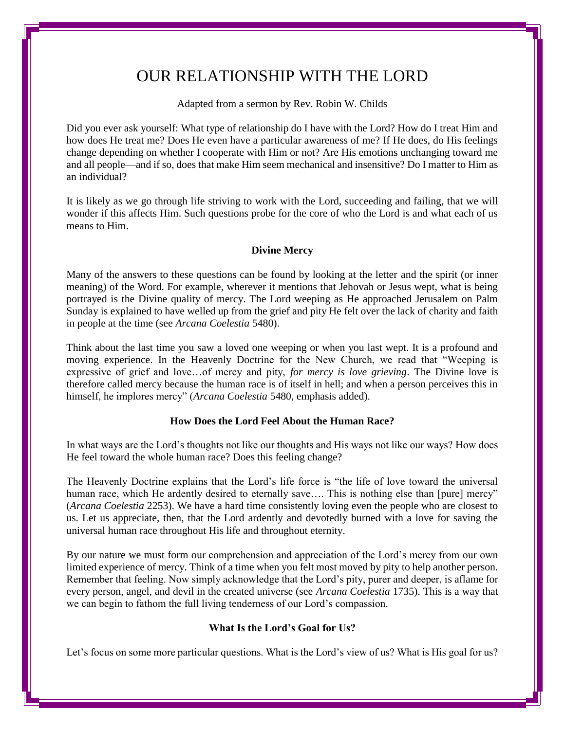# OUR RELATIONSHIP WITH THE LORD

Adapted from a sermon by Rev. Robin W. Childs

Did you ever ask yourself: What type of relationship do I have with the Lord? How do I treat Him and how does He treat me? Does He even have a particular awareness of me? If He does, do His feelings change depending on whether I cooperate with Him or not? Are His emotions unchanging toward me and all people—and if so, does that make Him seem mechanical and insensitive? Do I matter to Him as an individual?

It is likely as we go through life striving to work with the Lord, succeeding and failing, that we will wonder if this affects Him. Such questions probe for the core of who the Lord is and what each of us means to Him.

## **Divine Mercy**

Many of the answers to these questions can be found by looking at the letter and the spirit (or inner meaning) of the Word. For example, wherever it mentions that Jehovah or Jesus wept, what is being portrayed is the Divine quality of mercy. The Lord weeping as He approached Jerusalem on Palm Sunday is explained to have welled up from the grief and pity He felt over the lack of charity and faith in people at the time (see *Arcana Coelestia* 5480).

Think about the last time you saw a loved one weeping or when you last wept. It is a profound and moving experience. In the Heavenly Doctrine for the New Church, we read that "Weeping is expressive of grief and love…of mercy and pity, *for mercy is love grieving*. The Divine love is therefore called mercy because the human race is of itself in hell; and when a person perceives this in himself, he implores mercy" (*Arcana Coelestia* 5480, emphasis added).

### **How Does the Lord Feel About the Human Race?**

In what ways are the Lord's thoughts not like our thoughts and His ways not like our ways? How does He feel toward the whole human race? Does this feeling change?

The Heavenly Doctrine explains that the Lord's life force is "the life of love toward the universal human race, which He ardently desired to eternally save.... This is nothing else than [pure] mercy" (*Arcana Coelestia* 2253). We have a hard time consistently loving even the people who are closest to us. Let us appreciate, then, that the Lord ardently and devotedly burned with a love for saving the universal human race throughout His life and throughout eternity.

By our nature we must form our comprehension and appreciation of the Lord's mercy from our own limited experience of mercy. Think of a time when you felt most moved by pity to help another person. Remember that feeling. Now simply acknowledge that the Lord's pity, purer and deeper, is aflame for every person, angel, and devil in the created universe (see *Arcana Coelestia* 1735). This is a way that we can begin to fathom the full living tenderness of our Lord's compassion.

## **What Is the Lord's Goal for Us?**

Let's focus on some more particular questions. What is the Lord's view of us? What is His goal for us?